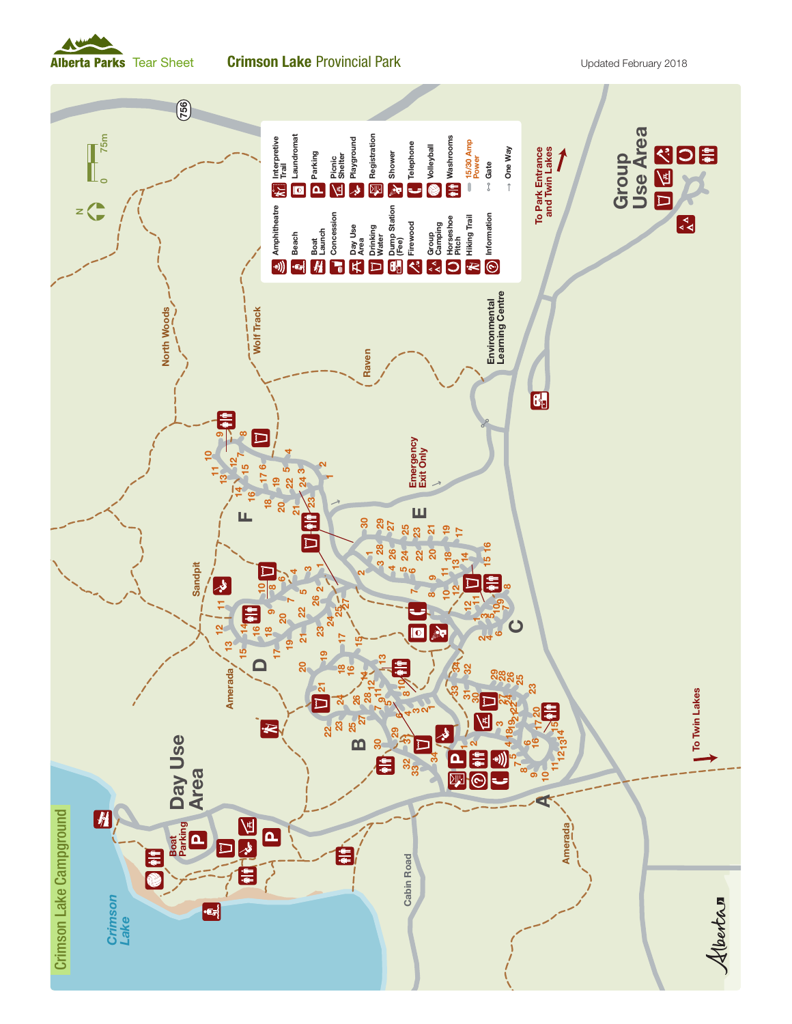